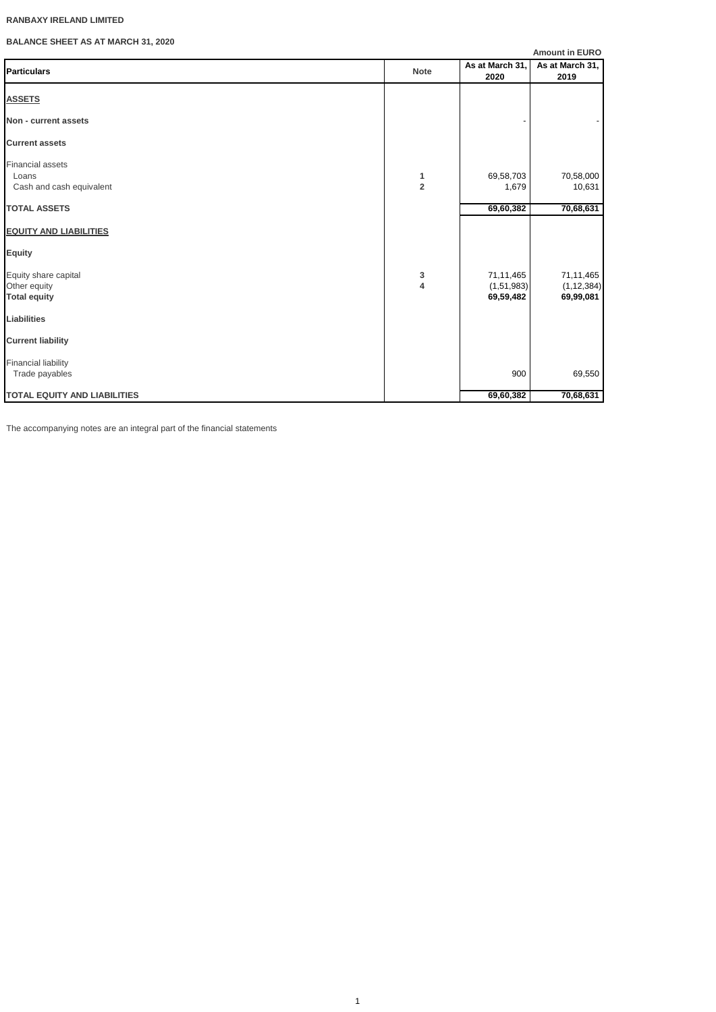# **RANBAXY IRELAND LIMITED**

**BALANCE SHEET AS AT MARCH 31, 2020**

|                                                              |                              |                                      | <b>Amount in EURO</b>                  |
|--------------------------------------------------------------|------------------------------|--------------------------------------|----------------------------------------|
| <b>Particulars</b>                                           | <b>Note</b>                  | As at March 31,<br>2020              | As at March 31,<br>2019                |
| <b>ASSETS</b>                                                |                              |                                      |                                        |
| Non - current assets                                         |                              |                                      |                                        |
| <b>Current assets</b>                                        |                              |                                      |                                        |
| <b>Financial assets</b><br>Loans<br>Cash and cash equivalent | 1<br>$\overline{\mathbf{2}}$ | 69,58,703<br>1,679                   | 70,58,000<br>10,631                    |
| <b>TOTAL ASSETS</b>                                          |                              | 69,60,382                            | 70,68,631                              |
| <b>EQUITY AND LIABILITIES</b>                                |                              |                                      |                                        |
| <b>Equity</b>                                                |                              |                                      |                                        |
| Equity share capital<br>Other equity<br><b>Total equity</b>  | 3<br>4                       | 71,11,465<br>(1,51,983)<br>69,59,482 | 71,11,465<br>(1, 12, 384)<br>69,99,081 |
| <b>Liabilities</b>                                           |                              |                                      |                                        |
| <b>Current liability</b>                                     |                              |                                      |                                        |
| <b>Financial liability</b><br>Trade payables                 |                              | 900                                  | 69,550                                 |
| <b>TOTAL EQUITY AND LIABILITIES</b>                          |                              | 69,60,382                            | 70,68,631                              |

The accompanying notes are an integral part of the financial statements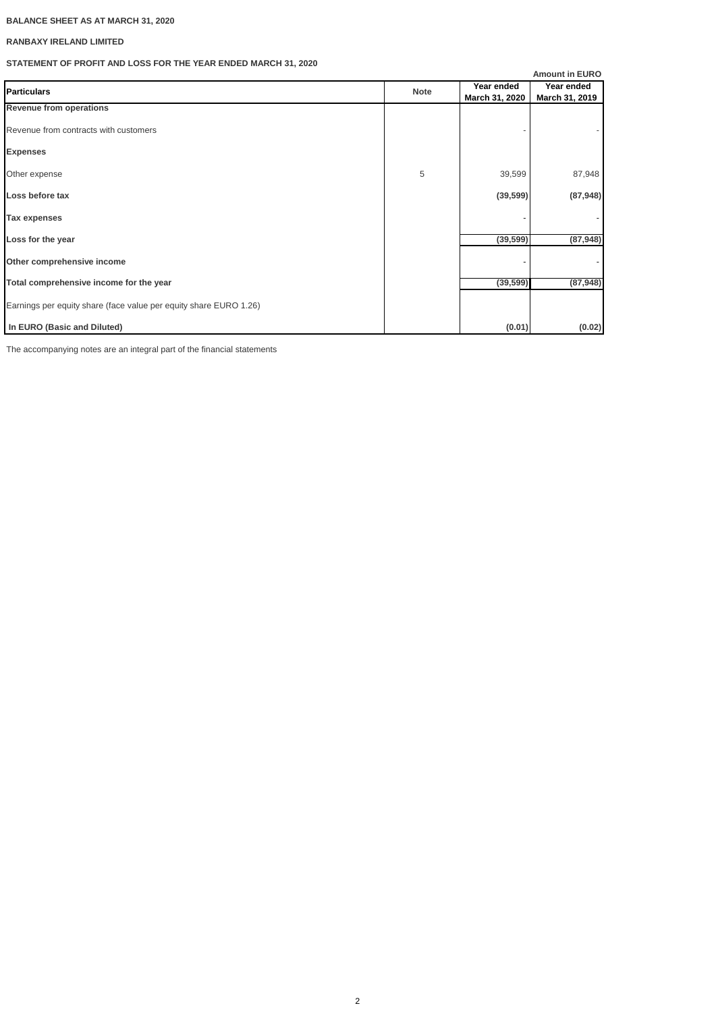# **BALANCE SHEET AS AT MARCH 31, 2020**

# **RANBAXY IRELAND LIMITED**

# **STATEMENT OF PROFIT AND LOSS FOR THE YEAR ENDED MARCH 31, 2020**

|                                                                   |             |                              | <b>Amount in EURO</b>        |
|-------------------------------------------------------------------|-------------|------------------------------|------------------------------|
| <b>Particulars</b>                                                | <b>Note</b> | Year ended<br>March 31, 2020 | Year ended<br>March 31, 2019 |
| <b>Revenue from operations</b>                                    |             |                              |                              |
| Revenue from contracts with customers                             |             |                              |                              |
| <b>Expenses</b>                                                   |             |                              |                              |
| Other expense                                                     | 5           | 39,599                       | 87,948                       |
| Loss before tax                                                   |             | (39, 599)                    | (87, 948)                    |
| Tax expenses                                                      |             |                              |                              |
| Loss for the year                                                 |             | (39, 599)                    | (87, 948)                    |
| Other comprehensive income                                        |             |                              |                              |
| Total comprehensive income for the year                           |             | (39, 599)                    | (87, 948)                    |
| Earnings per equity share (face value per equity share EURO 1.26) |             |                              |                              |
| In EURO (Basic and Diluted)                                       |             | (0.01)                       | (0.02)                       |

The accompanying notes are an integral part of the financial statements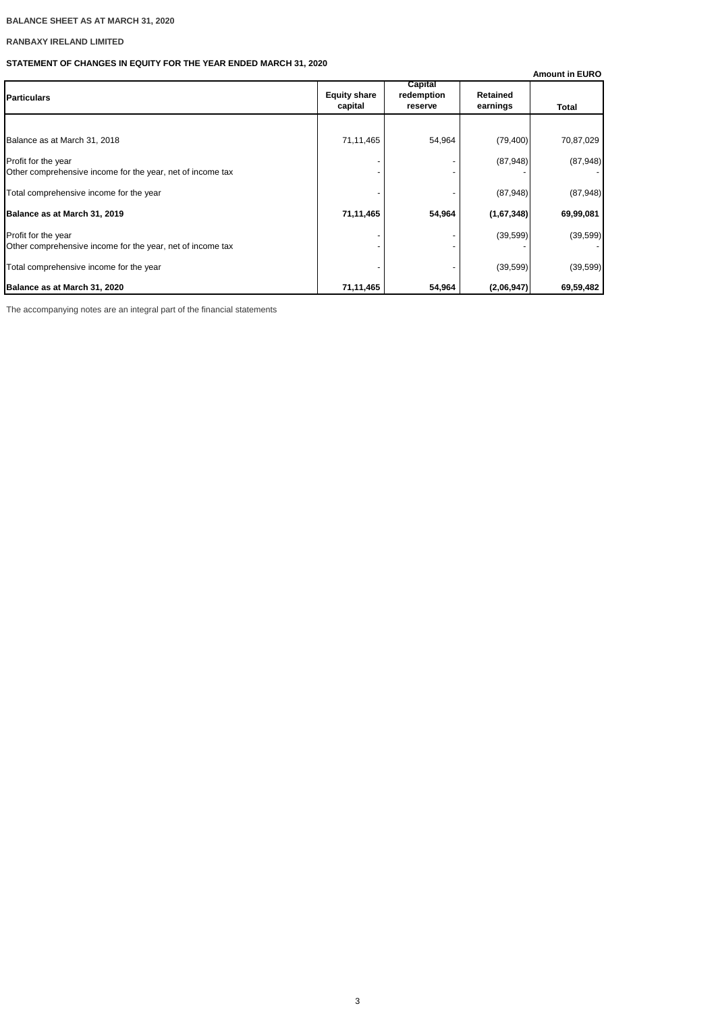# **BALANCE SHEET AS AT MARCH 31, 2020**

# **RANBAXY IRELAND LIMITED**

# **STATEMENT OF CHANGES IN EQUITY FOR THE YEAR ENDED MARCH 31, 2020**

|                                                                                   |                                |                                  |                             | <b>Amount in EURO</b> |
|-----------------------------------------------------------------------------------|--------------------------------|----------------------------------|-----------------------------|-----------------------|
| <b>Particulars</b>                                                                | <b>Equity share</b><br>capital | Capital<br>redemption<br>reserve | <b>Retained</b><br>earnings | Total                 |
|                                                                                   |                                |                                  |                             |                       |
| Balance as at March 31, 2018                                                      | 71,11,465                      | 54,964                           | (79, 400)                   | 70,87,029             |
| Profit for the year<br>Other comprehensive income for the year, net of income tax |                                |                                  | (87, 948)                   | (87,948)              |
| Total comprehensive income for the year                                           |                                |                                  | (87, 948)                   | (87,948)              |
| Balance as at March 31, 2019                                                      | 71,11,465                      | 54,964                           | (1,67,348)                  | 69,99,081             |
| Profit for the year<br>Other comprehensive income for the year, net of income tax |                                |                                  | (39, 599)                   | (39, 599)             |
| Total comprehensive income for the year                                           |                                |                                  | (39, 599)                   | (39, 599)             |
| Balance as at March 31, 2020                                                      | 71,11,465                      | 54,964                           | (2,06,947)                  | 69,59,482             |

The accompanying notes are an integral part of the financial statements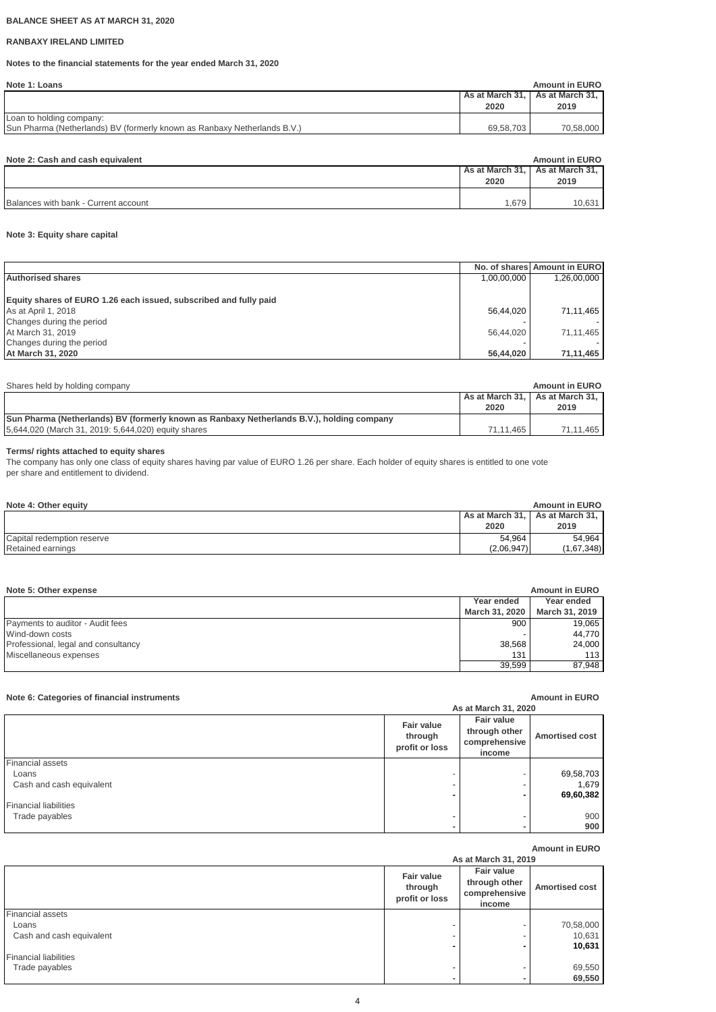## **BALANCE SHEET AS AT MARCH 31, 2020**

# **RANBAXY IRELAND LIMITED**

# **Notes to the financial statements for the year ended March 31, 2020**

|                 | <b>Amount in EURO</b> |
|-----------------|-----------------------|
| As at March 31, | As at March 31.       |
| 2020            | 2019                  |
|                 |                       |
| 69.58.703       | 70,58,000             |
|                 |                       |

| As at March 31, As at March 31,<br>2019<br>2020 | Note 2: Cash and cash equivalent | <b>Amount in EURO</b> |
|-------------------------------------------------|----------------------------------|-----------------------|
|                                                 |                                  |                       |
|                                                 |                                  |                       |
|                                                 |                                  |                       |
| 1,679<br>Balances with bank - Current account   |                                  | 10,631                |

# **Note 3: Equity share capital**

|                                                                   |             | No. of shares Amount in EURO |
|-------------------------------------------------------------------|-------------|------------------------------|
| <b>Authorised shares</b>                                          | 1,00,00,000 | 1,26,00,000                  |
|                                                                   |             |                              |
| Equity shares of EURO 1.26 each issued, subscribed and fully paid |             |                              |
| As at April 1, 2018                                               | 56,44,020   | 71,11,465                    |
| Changes during the period                                         |             |                              |
| At March 31, 2019                                                 | 56,44,020   | 71,11,465                    |
| Changes during the period                                         |             |                              |
| At March 31, 2020                                                 | 56,44,020   | 71,11,465                    |

| Shares held by holding company                                                            |                 | <b>Amount in EURO</b> |
|-------------------------------------------------------------------------------------------|-----------------|-----------------------|
|                                                                                           | As at March 31. | As at March 31.       |
|                                                                                           | 2020            | 2019                  |
| Sun Pharma (Netherlands) BV (formerly known as Ranbaxy Netherlands B.V.), holding company |                 |                       |
| 5,644,020 (March 31, 2019: 5,644,020) equity shares                                       | 71.11.465       | 71.11.465             |

## **Terms/ rights attached to equity shares**

The company has only one class of equity shares having par value of EURO 1.26 per share. Each holder of equity shares is entitled to one vote per share and entitlement to dividend.

| Note 4: Other equity       |                 | <b>Amount in EURO</b> |
|----------------------------|-----------------|-----------------------|
|                            | As at March 31, | As at March 31,       |
|                            | 2020            | 2019                  |
| Capital redemption reserve | 54.964          | 54.964                |
| Retained earnings          | (2,06,947)      | (1,67,348)            |

| Note 5: Other expense               |                | <b>Amount in EURO</b> |
|-------------------------------------|----------------|-----------------------|
|                                     | Year ended     | Year ended            |
|                                     | March 31, 2020 | March 31, 2019        |
| Payments to auditor - Audit fees    | 900            | 19,065                |
| Wind-down costs                     |                | 44.770                |
| Professional, legal and consultancy | 38,568         | 24,000                |
| Miscellaneous expenses              | 131            | 113                   |
|                                     | 39.599         | 87,948                |

# **Note 6: Categories of financial instruments Amount in EURO**

|                              |                                         | As at March 31, 2020                                          |                       |
|------------------------------|-----------------------------------------|---------------------------------------------------------------|-----------------------|
|                              | Fair value<br>through<br>profit or loss | <b>Fair value</b><br>through other<br>comprehensive<br>income | <b>Amortised cost</b> |
| Financial assets             |                                         |                                                               |                       |
| Loans                        |                                         |                                                               | 69,58,703             |
| Cash and cash equivalent     |                                         |                                                               | 1,679                 |
|                              | ۰                                       |                                                               | 69,60,382             |
| <b>Financial liabilities</b> |                                         |                                                               |                       |
| Trade payables               |                                         |                                                               | 900                   |
|                              |                                         |                                                               | 900                   |

# **Amount in EURO**

#### **Fair value through profit or loss Fair value through other comprehensive income Amortised cost** Financial assets Loans - 70,58,000 - 70,58,000 - 70,58,000 - 70,58,000 - 70,58,000 - 70,58,000 - 70,58,000 - 70,58,000 - 70,58, Cash and cash equivalent - - - 10,631 and cash equivalent - - 10,631 and 20,631 and 20,631 and 20,631 and 20,631 and 20,631 and 20,631 and 20,631 and 20,631 and 20,631 and 20,631 and 20,631 and 20,631 and 20,631 and 20,631  **- - 10,631** Financial liabilities Trade payables  $\overline{69,550}$  **- - 69,550 As at March 31, 2019**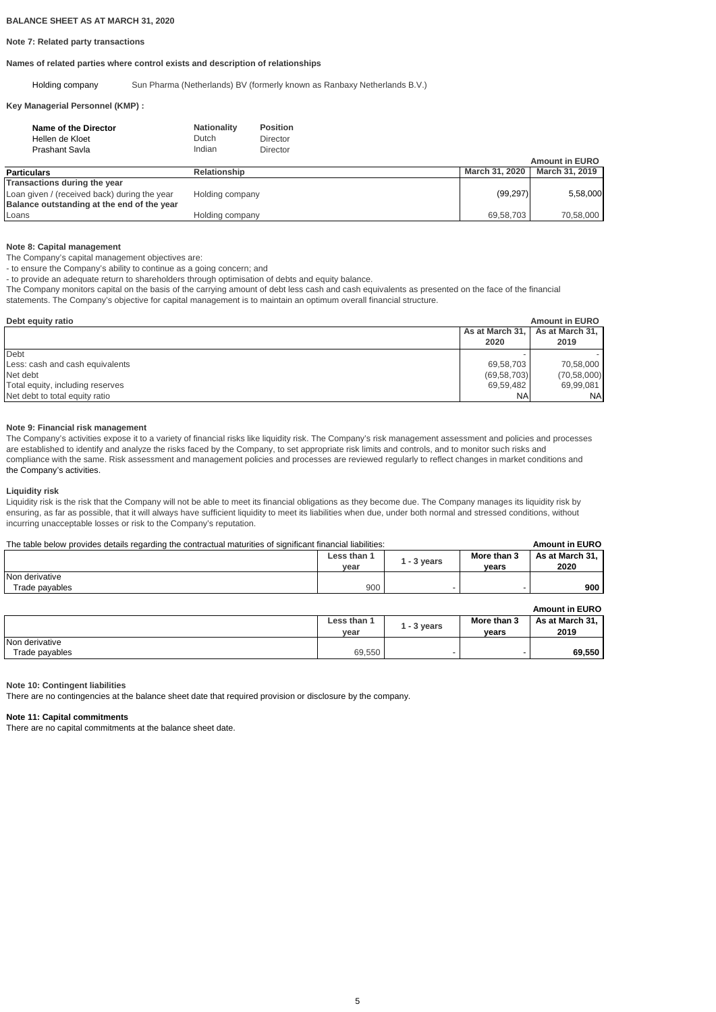### **Note 7: Related party transactions**

## **Names of related parties where control exists and description of relationships**

Holding company Sun Pharma (Netherlands) BV (formerly known as Ranbaxy Netherlands B.V.)

## **Key Managerial Personnel (KMP) :**

| Name of the Director<br>Hellen de Kloet<br>Prashant Savla | <b>Nationality</b><br>Dutch<br>Indian | <b>Position</b><br><b>Director</b><br><b>Director</b> |                |                       |
|-----------------------------------------------------------|---------------------------------------|-------------------------------------------------------|----------------|-----------------------|
|                                                           |                                       |                                                       |                | <b>Amount in EURO</b> |
| <b>Particulars</b>                                        | <b>Relationship</b>                   |                                                       | March 31, 2020 | March 31, 2019        |
| Transactions during the year                              |                                       |                                                       |                |                       |
| Loan given / (received back) during the year              | Holding company                       |                                                       | (99, 297)      | 5,58,000              |
| Balance outstanding at the end of the year                |                                       |                                                       |                |                       |
| Loans                                                     | Holding company                       |                                                       | 69,58,703      | 70,58,000             |

## **Note 8: Capital management**

The Company's capital management objectives are:

- to ensure the Company's ability to continue as a going concern; and

- to provide an adequate return to shareholders through optimisation of debts and equity balance.

The Company monitors capital on the basis of the carrying amount of debt less cash and cash equivalents as presented on the face of the financial

statements. The Company's objective for capital management is to maintain an optimum overall financial structure.

| Debt equity ratio                |                 | <b>Amount in EURO</b> |
|----------------------------------|-----------------|-----------------------|
|                                  | As at March 31, | As at March 31,       |
|                                  | 2020            | 2019                  |
| Debt                             |                 |                       |
| Less: cash and cash equivalents  | 69,58,703       | 70,58,000             |
| Net debt                         | (69, 58, 703)   | (70, 58, 000)         |
| Total equity, including reserves | 69,59,482       | 69,99,081             |
| Net debt to total equity ratio   | <b>NA</b>       | <b>NA</b>             |

## **Note 9: Financial risk management**

The Company's activities expose it to a variety of financial risks like liquidity risk. The Company's risk management assessment and policies and processes are established to identify and analyze the risks faced by the Company, to set appropriate risk limits and controls, and to monitor such risks and compliance with the same. Risk assessment and management policies and processes are reviewed regularly to reflect changes in market conditions and the Company's activities.

## **Liquidity risk**

Liquidity risk is the risk that the Company will not be able to meet its financial obligations as they become due. The Company manages its liquidity risk by ensuring, as far as possible, that it will always have sufficient liquidity to meet its liabilities when due, under both normal and stressed conditions, without incurring unacceptable losses or risk to the Company's reputation.

# The table below provides details regarding the contractual maturities of significant financial liabilities: **Amount in EURO**

|                | Less than 1<br>vear | l - 3 vears | More than 3<br>vears | As at March 31.<br>2020 |  |  |
|----------------|---------------------|-------------|----------------------|-------------------------|--|--|
| Non derivative |                     |             |                      |                         |  |  |
| Trade payables | 900                 |             |                      | 900                     |  |  |

|                |                     |             |                      | <b>Amount in EURO</b>   |
|----------------|---------------------|-------------|----------------------|-------------------------|
|                | Less than 1<br>vear | l - 3 vears | More than 3<br>vears | As at March 31.<br>2019 |
| Non derivative |                     |             |                      |                         |
| Trade payables | 69.550              |             |                      | 69,550                  |

**Note 10: Contingent liabilities**

There are no contingencies at the balance sheet date that required provision or disclosure by the company.

## **Note 11: Capital commitments**

There are no capital commitments at the balance sheet date.